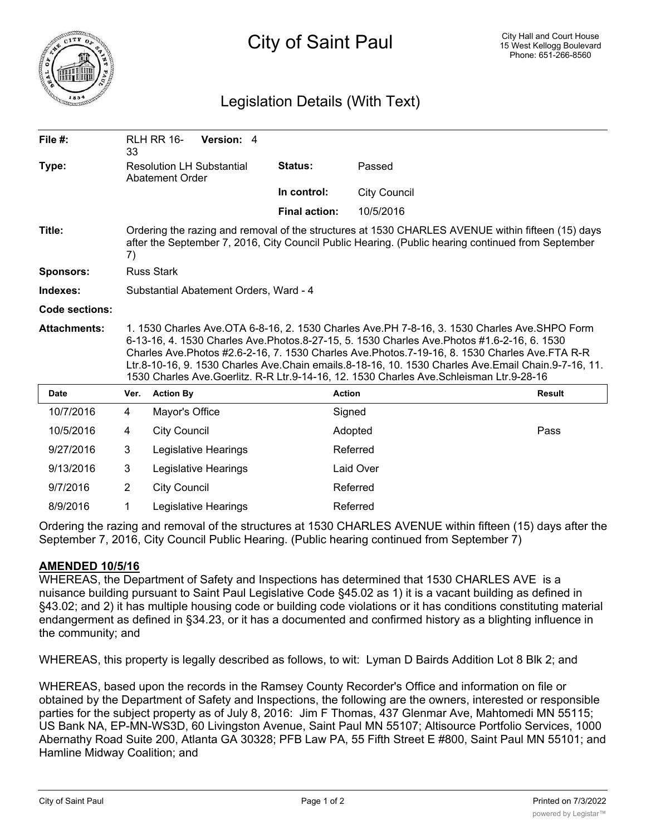

## Legislation Details (With Text)

| File $#$ :          | 33                                                                                                                                                                                                                                                                                                                                                                                                                                                                                                   | <b>RLH RR 16-</b><br>Version: 4                     |                      |                     |               |
|---------------------|------------------------------------------------------------------------------------------------------------------------------------------------------------------------------------------------------------------------------------------------------------------------------------------------------------------------------------------------------------------------------------------------------------------------------------------------------------------------------------------------------|-----------------------------------------------------|----------------------|---------------------|---------------|
| Type:               |                                                                                                                                                                                                                                                                                                                                                                                                                                                                                                      | <b>Resolution LH Substantial</b><br>Abatement Order | Status:              | Passed              |               |
|                     |                                                                                                                                                                                                                                                                                                                                                                                                                                                                                                      |                                                     | In control:          | <b>City Council</b> |               |
|                     |                                                                                                                                                                                                                                                                                                                                                                                                                                                                                                      |                                                     | <b>Final action:</b> | 10/5/2016           |               |
| Title:              | Ordering the razing and removal of the structures at 1530 CHARLES AVENUE within fifteen (15) days<br>after the September 7, 2016, City Council Public Hearing. (Public hearing continued from September<br>7)                                                                                                                                                                                                                                                                                        |                                                     |                      |                     |               |
| <b>Sponsors:</b>    | <b>Russ Stark</b>                                                                                                                                                                                                                                                                                                                                                                                                                                                                                    |                                                     |                      |                     |               |
| Indexes:            | Substantial Abatement Orders, Ward - 4                                                                                                                                                                                                                                                                                                                                                                                                                                                               |                                                     |                      |                     |               |
| Code sections:      |                                                                                                                                                                                                                                                                                                                                                                                                                                                                                                      |                                                     |                      |                     |               |
| <b>Attachments:</b> | 1. 1530 Charles Ave.OTA 6-8-16, 2. 1530 Charles Ave.PH 7-8-16, 3. 1530 Charles Ave.SHPO Form<br>6-13-16, 4. 1530 Charles Ave. Photos. 8-27-15, 5. 1530 Charles Ave. Photos #1.6-2-16, 6. 1530<br>Charles Ave. Photos #2.6-2-16, 7. 1530 Charles Ave. Photos. 7-19-16, 8. 1530 Charles Ave. FTA R-R<br>Ltr.8-10-16, 9. 1530 Charles Ave.Chain emails.8-18-16, 10. 1530 Charles Ave.Email Chain.9-7-16, 11.<br>1530 Charles Ave.Goerlitz. R-R Ltr.9-14-16, 12. 1530 Charles Ave.Schleisman Ltr.9-28-16 |                                                     |                      |                     |               |
| <b>Date</b>         | Ver.                                                                                                                                                                                                                                                                                                                                                                                                                                                                                                 | <b>Action By</b>                                    |                      | <b>Action</b>       | <b>Result</b> |
| 10/7/2016           | 4                                                                                                                                                                                                                                                                                                                                                                                                                                                                                                    | Mayor's Office                                      |                      | Signed              |               |
| 10/5/2016           | 4                                                                                                                                                                                                                                                                                                                                                                                                                                                                                                    | <b>City Council</b>                                 |                      | Adopted             | Pass          |
| 9/27/2016           | 3                                                                                                                                                                                                                                                                                                                                                                                                                                                                                                    | Legislative Hearings                                |                      | Referred            |               |
| 9/13/2016           | 3                                                                                                                                                                                                                                                                                                                                                                                                                                                                                                    | Legislative Hearings                                |                      | Laid Over           |               |
| 9/7/2016            | $\overline{2}$                                                                                                                                                                                                                                                                                                                                                                                                                                                                                       | <b>City Council</b>                                 |                      | Referred            |               |
| 8/9/2016            |                                                                                                                                                                                                                                                                                                                                                                                                                                                                                                      | Legislative Hearings                                |                      | Referred            |               |

Ordering the razing and removal of the structures at 1530 CHARLES AVENUE within fifteen (15) days after the September 7, 2016, City Council Public Hearing. (Public hearing continued from September 7)

## **AMENDED 10/5/16**

WHEREAS, the Department of Safety and Inspections has determined that 1530 CHARLES AVE is a nuisance building pursuant to Saint Paul Legislative Code §45.02 as 1) it is a vacant building as defined in §43.02; and 2) it has multiple housing code or building code violations or it has conditions constituting material endangerment as defined in §34.23, or it has a documented and confirmed history as a blighting influence in the community; and

WHEREAS, this property is legally described as follows, to wit: Lyman D Bairds Addition Lot 8 Blk 2; and

WHEREAS, based upon the records in the Ramsey County Recorder's Office and information on file or obtained by the Department of Safety and Inspections, the following are the owners, interested or responsible parties for the subject property as of July 8, 2016: Jim F Thomas, 437 Glenmar Ave, Mahtomedi MN 55115; US Bank NA, EP-MN-WS3D, 60 Livingston Avenue, Saint Paul MN 55107; Altisource Portfolio Services, 1000 Abernathy Road Suite 200, Atlanta GA 30328; PFB Law PA, 55 Fifth Street E #800, Saint Paul MN 55101; and Hamline Midway Coalition; and